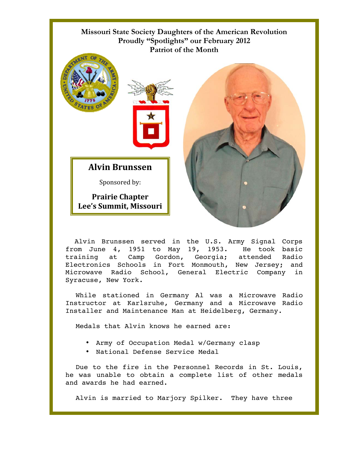## **Missouri State Society Daughters of the American Revolution Proudly "Spotlights" our February 2012 Patriot of the Month**



 Alvin Brunssen served in the U.S. Army Signal Corps from June 4, 1951 to May 19, 1953. He took basic training at Camp Gordon, Georgia; attended Radio Electronics Schools in Fort Monmouth, New Jersey; and Microwave Radio School, General Electric Company in Syracuse, New York.

While stationed in Germany Al was a Microwave Radio Instructor at Karlsruhe, Germany and a Microwave Radio Installer and Maintenance Man at Heidelberg, Germany.

Medals that Alvin knows he earned are:

- Army of Occupation Medal w/Germany clasp
- National Defense Service Medal

Due to the fire in the Personnel Records in St. Louis, he was unable to obtain a complete list of other medals and awards he had earned.

Alvin is married to Marjory Spilker. They have three